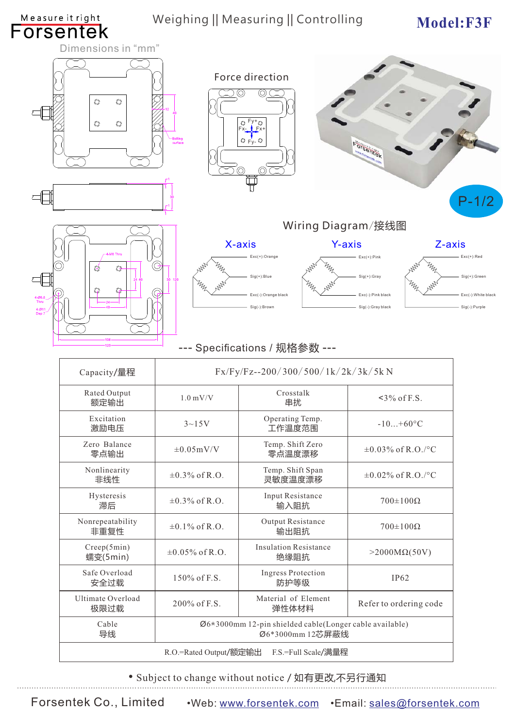| <b>Forsentek</b>                | Measure it right                                                                           | Weighing    Measuring    Controlling |                                                                     |                                                                            | Model:F3F                                                             |  |
|---------------------------------|--------------------------------------------------------------------------------------------|--------------------------------------|---------------------------------------------------------------------|----------------------------------------------------------------------------|-----------------------------------------------------------------------|--|
|                                 | Dimensions in "mm"                                                                         |                                      |                                                                     |                                                                            |                                                                       |  |
|                                 | O<br>O<br>$\circledcirc$                                                                   | Bolting<br>surface                   | Force direction<br>$Q Fy+Q$<br>$Fx-\sqrt{Fx+}$<br>$Q$ $F_y$ - $Q$   | <b>FOTSentek</b>                                                           |                                                                       |  |
|                                 |                                                                                            |                                      |                                                                     |                                                                            | $P-1/2$                                                               |  |
|                                 |                                                                                            | Wiring Diagram/接线图                   |                                                                     |                                                                            |                                                                       |  |
|                                 |                                                                                            |                                      | X-axis                                                              | <b>Y-axis</b>                                                              | Z-axis                                                                |  |
| 4-Ø6.6<br>Thru<br>4-Ø1<br>Dep i | O<br>O<br>Q                                                                                | $\Theta$                             | Exc(+):Orange<br>Sig(+):Blue<br>Exc(-):Orange black<br>Sig(-):Brown | $Exc(+):Pink$<br>$Sig(+)$ : Gray<br>Exc(-):Pink black<br>Sig(-):Gray black | $Exc(+)$ :Red<br>Sig(+):Green<br>Exc(-): White black<br>Sig(-):Purple |  |
|                                 |                                                                                            |                                      | --- Specifications / 规格参数 ---                                       |                                                                            |                                                                       |  |
|                                 | Fx/Fy/Fz--200/300/500/1k/2k/3k/5k N<br>Capacity/量程                                         |                                      |                                                                     |                                                                            |                                                                       |  |
|                                 | Rated Output<br>额定输出                                                                       | $1.0\:\mathrm{mV/V}$                 | Crosstalk<br>串扰                                                     | $~5\%$ of F.S.                                                             |                                                                       |  |
|                                 | Excitation<br>激励电压                                                                         | $3 - 15V$                            | Operating Temp.<br>工作温度范围                                           | $-10+60$ °C                                                                |                                                                       |  |
|                                 | Zero Balance<br>零点输出                                                                       | $\pm 0.05$ mV/V                      | Temp. Shift Zero<br>零点温度漂移                                          | $\pm 0.03\%$ of R.O./°C                                                    |                                                                       |  |
|                                 | Nonlinearity<br>非线性                                                                        | $\pm 0.3\%$ of R.O.                  | Temp. Shift Span<br>灵敏度温度漂移                                         | $\pm 0.02\%$ of R.O./°C                                                    |                                                                       |  |
|                                 | Hysteresis<br>滞后                                                                           | $\pm 0.3\%$ of R.O.                  | Input Resistance<br>输入阻抗                                            | $700{\pm}100\Omega$                                                        |                                                                       |  |
|                                 | Nonrepeatability<br>非重复性                                                                   | $\pm 0.1\%$ of R.O.                  | Output Resistance<br>输出阻抗                                           | $700{\pm}100\Omega$                                                        |                                                                       |  |
|                                 | Creep(5min)<br>蠕变(5min)                                                                    | $\pm 0.05\%$ of R.O.                 | <b>Insulation Resistance</b><br>绝缘阻抗                                | $>2000M\Omega(50V)$                                                        |                                                                       |  |
|                                 | Safe Overload<br>安全过载                                                                      | 150% of F.S.                         | <b>Ingress Protection</b><br>防护等级                                   | IP <sub>62</sub>                                                           |                                                                       |  |
|                                 | Ultimate Overload<br>极限过载                                                                  | 200% of F.S.                         | Material of Element<br>弹性体材料                                        | Refer to ordering code                                                     |                                                                       |  |
|                                 | Cable<br>Ø6*3000mm 12-pin shielded cable(Longer cable available)<br>导线<br>Ø6*3000mm 12芯屏蔽线 |                                      |                                                                     |                                                                            |                                                                       |  |
|                                 | R.O.=Rated Output/额定输出<br>F.S.=Full Scale/满量程                                              |                                      |                                                                     |                                                                            |                                                                       |  |

• Subject to change without notice / 如有更改,不另行通知